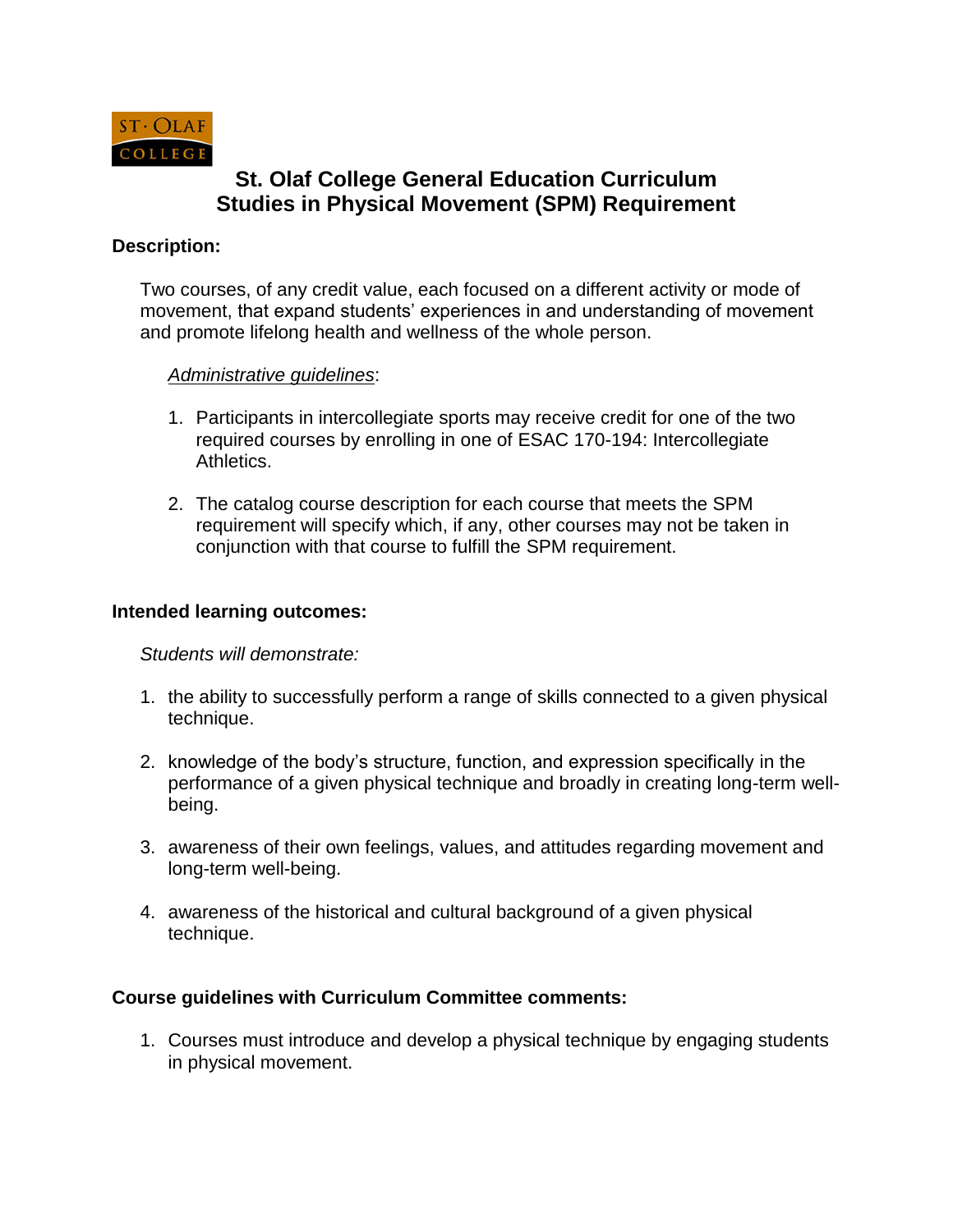

# **St. Olaf College General Education Curriculum Studies in Physical Movement (SPM) Requirement**

# **Description:**

Two courses, of any credit value, each focused on a different activity or mode of movement, that expand students' experiences in and understanding of movement and promote lifelong health and wellness of the whole person.

### *Administrative guidelines*:

- 1. Participants in intercollegiate sports may receive credit for one of the two required courses by enrolling in one of ESAC 170-194: Intercollegiate Athletics.
- 2. The catalog course description for each course that meets the SPM requirement will specify which, if any, other courses may not be taken in conjunction with that course to fulfill the SPM requirement.

### **Intended learning outcomes:**

*Students will demonstrate:* 

- 1. the ability to successfully perform a range of skills connected to a given physical technique.
- 2. knowledge of the body's structure, function, and expression specifically in the performance of a given physical technique and broadly in creating long-term wellbeing.
- 3. awareness of their own feelings, values, and attitudes regarding movement and long-term well-being.
- 4. awareness of the historical and cultural background of a given physical technique.

# **Course guidelines with Curriculum Committee comments:**

1. Courses must introduce and develop a physical technique by engaging students in physical movement.